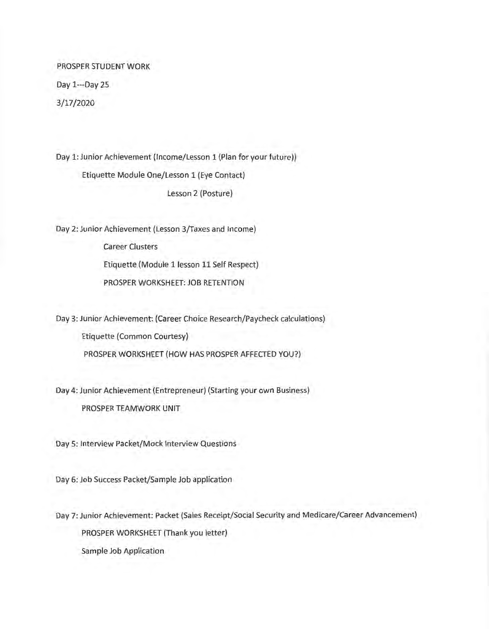PROSPER STUDENT WORK Day 1---Day 25 3/17/2020

Day 1: Junior Achievement (Income/Lesson 1 (Plan for your future}) Etiquette Module One/Lesson 1 (Eye Contact) Lesson 2 (Posture)

Day 2: Junior Achievement (Lesson 3/Taxes and Income)

Career Clusters Etiquette (Module 1 lesson 11 Self Respect) PROSPER WORKSHEET: JOB RETENTION

Day 3: Junior Achievement: (Career Choice Research/Paycheck calculations) Etiquette (Common Courtesy) PROSPER WORKSHEET (HOW HAS PROSPER AFFECTED YOU?)

Day 4: Junior Achievement (Entrepreneur) (Starting your own Business) PROSPER TEAMWORK UNIT

Day 5: Interview Packet/Mock Interview Questions

Day 6: Job Success Packet/Sample Job application

Day 7: Junior Achievement: Packet (Sales Receipt/Social Security and Medicare/Career Advancement) PROSPER WORKSHEET (Thank you letter)

Sample Job Application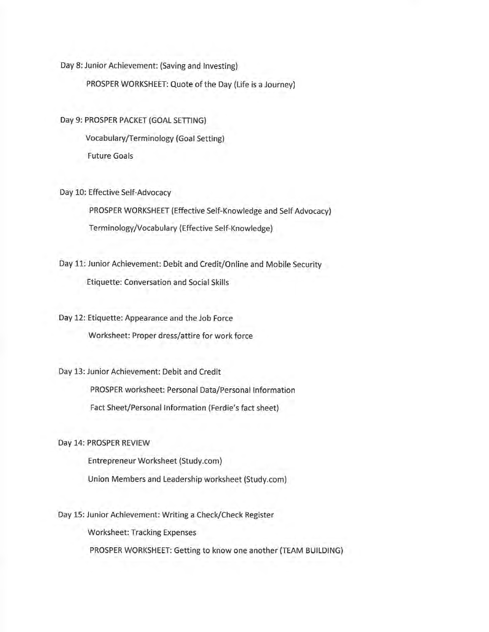Day 8: Junior Achievement: (Saving and Investing)

PROSPER WORKSHEET: Quote of the Day (Life is a Journey)

Day 9: PROSPER PACKET (GOAL SETTING) Vocabulary/Terminology (Goal Setting) Future Goals

Day 10: Effective Self-Advocacy

PROSPER WORKSHEET (Effective Self-Knowledge and Self Advocacy) Terminology/Vocabulary (Effective Self-Knowledge)

Day 11: Junior Achievement: Debit and Credit/Online and Mobile Security Etiquette: Conversation and Social Skills

Day 12: Etiquette: Appearance and the Job Force Worksheet: Proper dress/attire for work force

Day 13: Junior Achievement: Debit and Credit PROSPER worksheet: Personal Data/Personal Information Fact Sheet/Personal Information (Ferdie's fact sheet)

Day 14: PROSPER REVIEW

Entrepreneur Worksheet ([Study.com](https://Study.com))

Union Members and Leadership worksheet ([Study.com](https://Study.com))

Day 15: Junior Achievement: Writing a Check/Check Register

Worksheet: Tracking Expenses

PROSPER WORKSHEET: Getting to know one another (TEAM BUILDING)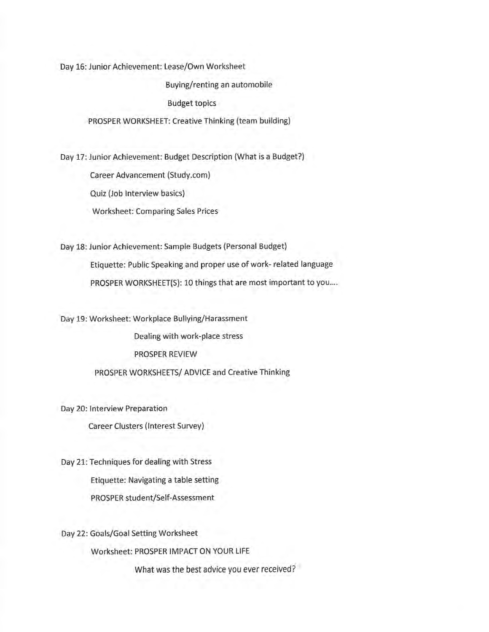Day 16: Junior Achievement: Lease/Own Worksheet

Buying/renting an automobile

Budget topics

PROSPER WORKSHEET: Creative Thinking (team building)

Day 17: Junior Achievement: Budget Description (What is a Budget?)

Career Advancement ([Study.com](https://Study.com)}

Quiz (Job Interview basics)

Worksheet: Comparing Sales Prices

Day 18: Junior Achievement: Sample Budgets (Personal Budget) Etiquette: Public Speaking and proper use of work- related language PROSPER WORKSHEET(S): 10 things that are most important to you....

Day 19: Worksheet: Workplace Bullying/Harassment

Dealing with work-place stress

PROSPER REVIEW

PROSPER WORKSHEETS/ ADVICE and Creative Thinking

Day 20: Interview Preparation

Career Clusters (Interest Survey)

Day 21: Techniques for dealing with Stress Etiquette: Navigating a table setting PROSPER student/Self-Assessment

Day 22: Goals/Goal Setting Worksheet

Worksheet: PROSPER IMPACT ON YOUR LIFE

What was the best advice you ever received?